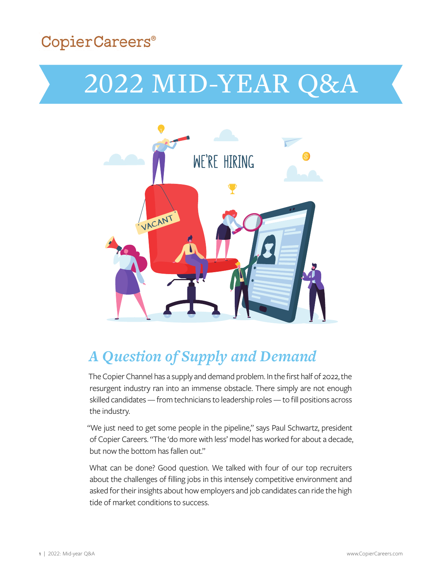## CopierCareers®

# 2022 MID-YEAR Q&A



# *A Question of Supply and Demand*

The Copier Channel has a supply and demand problem. In the first half of 2022, the resurgent industry ran into an immense obstacle. There simply are not enough skilled candidates — from technicians to leadership roles — to fill positions across the industry.

"We just need to get some people in the pipeline," says Paul Schwartz, president of Copier Careers. "The 'do more with less' model has worked for about a decade, but now the bottom has fallen out."

What can be done? Good question. We talked with four of our top recruiters about the challenges of filling jobs in this intensely competitive environment and asked for their insights about how employers and job candidates can ride the high tide of market conditions to success.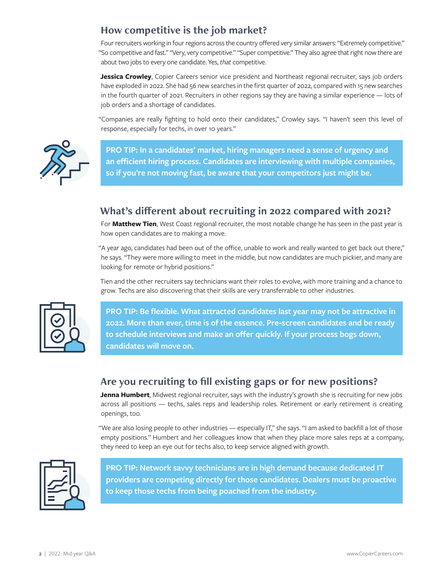#### **How competitive is the job market?**

Four recruiters working in four regions across the country offered very similar answers: "Extremely competitive." "So competitive and fast." "Very, very competitive." "Super competitive." They also agree that right now there are about two jobs to every one candidate. Yes, *that* competitive.

**Jessica Crowley**, Copier Careers senior vice president and Northeast regional recruiter, says job orders have exploded in 2022. She had 56 new searches in the first quarter of 2022, compared with 15 new searches in the fourth quarter of 2021. Recruiters in other regions say they are having a similar experience — lots of job orders and a shortage of candidates.

"Companies are really fighting to hold onto their candidates," Crowley says. "I haven't seen this level of response, especially for techs, in over 10 years."



**PRO TIP: In a candidates' market, hiring managers need a sense of urgency and an efficient hiring process. Candidates are interviewing with multiple companies, so if you're not moving fast, be aware that your competitors just might be.**

#### **What's different about recruiting in 2022 compared with 2021?**

For **Matthew Tien**, West Coast regional recruiter, the most notable change he has seen in the past year is how open candidates are to making a move.

"A year ago, candidates had been out of the office, unable to work and really wanted to get back out there," he says. "They were more willing to meet in the middle, but now candidates are much pickier, and many are looking for remote or hybrid positions."

Tien and the other recruiters say technicians want their roles to evolve, with more training and a chance to grow. Techs are also discovering that their skills are very transferrable to other industries.



**PRO TIP: Be flexible. What attracted candidates last year may not be attractive in 2022. More than ever, time is of the essence. Pre-screen candidates and be ready to schedule interviews and make an offer quickly. If your process bogs down, candidates will move on.**

### **Are you recruiting to fill existing gaps or for new positions?**

**Jenna Humbert**, Midwest regional recruiter, says with the industry's growth she is recruiting for new jobs across all positions — techs, sales reps and leadership roles. Retirement or early retirement is creating openings, too.

"We are also losing people to other industries — especially IT," she says. "I am asked to backfill a lot of those empty positions." Humbert and her colleagues know that when they place more sales reps at a company, they need to keep an eye out for techs also, to keep service aligned with growth.



**PRO TIP: Network savvy technicians are in high demand because dedicated IT providers are competing directly for those candidates. Dealers must be proactive to keep those techs from being poached from the industry.**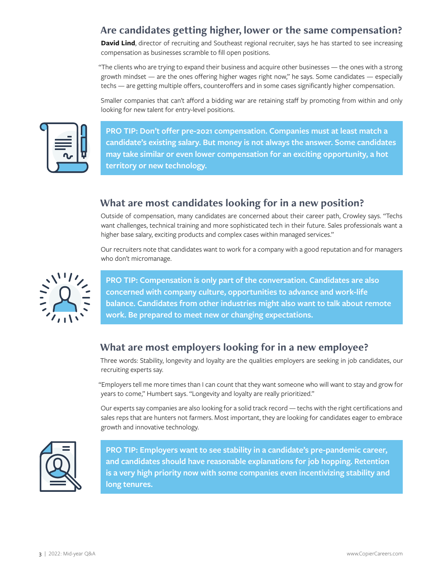### **Are candidates getting higher, lower or the same compensation?**

**David Lind**, director of recruiting and Southeast regional recruiter, says he has started to see increasing compensation as businesses scramble to fill open positions.

"The clients who are trying to expand their business and acquire other businesses — the ones with a strong growth mindset — are the ones offering higher wages right now," he says. Some candidates — especially techs — are getting multiple offers, counteroffers and in some cases significantly higher compensation.

Smaller companies that can't afford a bidding war are retaining staff by promoting from within and only looking for new talent for entry-level positions.



**PRO TIP: Don't offer pre-2021 compensation. Companies must at least match a candidate's existing salary. But money is not always the answer. Some candidates may take similar or even lower compensation for an exciting opportunity, a hot territory or new technology.** 

#### **What are most candidates looking for in a new position?**

Outside of compensation, many candidates are concerned about their career path, Crowley says. "Techs want challenges, technical training and more sophisticated tech in their future. Sales professionals want a higher base salary, exciting products and complex cases within managed services."

Our recruiters note that candidates want to work for a company with a good reputation and for managers who don't micromanage.



**PRO TIP: Compensation is only part of the conversation. Candidates are also concerned with company culture, opportunities to advance and work-life balance. Candidates from other industries might also want to talk about remote work. Be prepared to meet new or changing expectations.**

### **What are most employers looking for in a new employee?**

Three words: Stability, longevity and loyalty are the qualities employers are seeking in job candidates, our recruiting experts say.

"Employers tell me more times than I can count that they want someone who will want to stay and grow for years to come," Humbert says. "Longevity and loyalty are really prioritized."

Our experts say companies are also looking for a solid track record — techs with the right certifications and sales reps that are hunters not farmers. Most important, they are looking for candidates eager to embrace growth and innovative technology.



**PRO TIP: Employers want to see stability in a candidate's pre-pandemic career, and candidates should have reasonable explanations for job hopping. Retention is a very high priority now with some companies even incentivizing stability and long tenures.**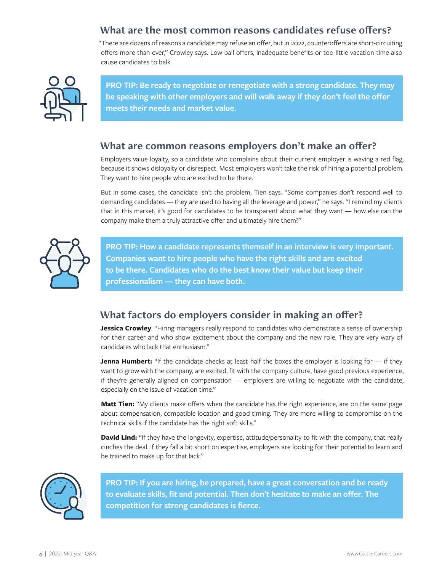#### **What are the most common reasons candidates refuse offers?**

"There are dozens of reasons a candidate may refuse an offer, but in 2022, counteroffers are short-circuiting offers more than ever," Crowley says. Low-ball offers, inadequate benefits or too-little vacation time also cause candidates to balk.



**PRO TIP: Be ready to negotiate or renegotiate with a strong candidate. They may be speaking with other employers and will walk away if they don't feel the offer meets their needs and market value.**

#### **What are common reasons employers don't make an offer?**

Employers value loyalty, so a candidate who complains about their current employer is waving a red flag, because it shows disloyalty or disrespect. Most employers won't take the risk of hiring a potential problem. They want to hire people who are excited to be there.

But in some cases, the candidate isn't the problem, Tien says. "Some companies don't respond well to demanding candidates — they are used to having all the leverage and power," he says. "I remind my clients that in this market, it's good for candidates to be transparent about what they want — how else can the company make them a truly attractive offer and ultimately hire them?"



**PRO TIP: How a candidate represents themself in an interview is very important. Companies want to hire people who have the right skills and are excited to be there. Candidates who do the best know their value but keep their professionalism — they can have both.**

### **What factors do employers consider in making an offer?**

**Jessica Crowley**: "Hiring managers really respond to candidates who demonstrate a sense of ownership for their career and who show excitement about the company and the new role. They are very wary of candidates who lack that enthusiasm."

**Jenna Humbert:** "If the candidate checks at least half the boxes the employer is looking for — if they want to grow with the company, are excited, fit with the company culture, have good previous experience, if they're generally aligned on compensation — employers are willing to negotiate with the candidate, especially on the issue of vacation time."

**Matt Tien:** "My clients make offers when the candidate has the right experience, are on the same page about compensation, compatible location and good timing. They are more willing to compromise on the technical skills if the candidate has the right soft skills."

**David Lind:** "If they have the longevity, expertise, attitude/personality to fit with the company, that really cinches the deal. If they fall a bit short on expertise, employers are looking for their potential to learn and be trained to make up for that lack."



**PRO TIP: If you are hiring, be prepared, have a great conversation and be ready to evaluate skills, fit and potential. Then don't hesitate to make an offer. The competition for strong candidates is fierce.**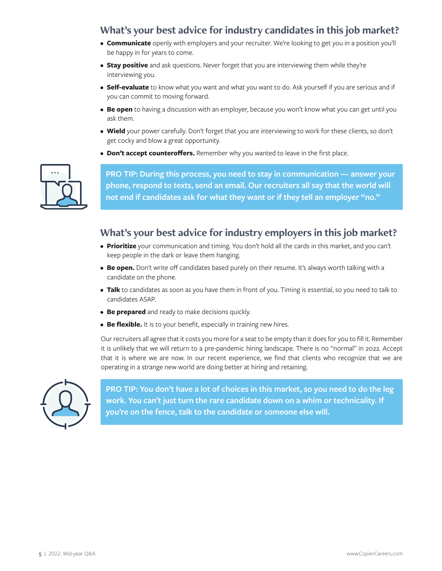#### **What's your best advice for industry candidates in this job market?**

- **Communicate** openly with employers and your recruiter. We're looking to get you in a position you'll be happy in for years to come.
- **Stay positive** and ask questions. Never forget that you are interviewing them while they're interviewing you.
- **Self-evaluate** to know what you want and what you want to do. Ask yourself if you are serious and if you can commit to moving forward.
- **Be open** to having a discussion with an employer, because you won't know what you can get until you ask them.
- **Wield** your power carefully. Don't forget that you are interviewing to work for these clients, so don't get cocky and blow a great opportunity.
- **Don't accept counteroffers.** Remember why you wanted to leave in the first place.



**PRO TIP: During this process, you need to stay in communication — answer your phone, respond to texts, send an email. Our recruiters all say that the world will not end if candidates ask for what they want or if they tell an employer "no."**

#### **What's your best advice for industry employers in this job market?**

- **Prioritize** your communication and timing. You don't hold all the cards in this market, and you can't keep people in the dark or leave them hanging.
- **Be open.** Don't write off candidates based purely on their resume. It's always worth talking with a candidate on the phone.
- **Talk** to candidates as soon as you have them in front of you. Timing is essential, so you need to talk to candidates ASAP.
- **Be prepared** and ready to make decisions quickly.
- **Be flexible.** It is to your benefit, especially in training new hires.

Our recruiters all agree that it costs you more for a seat to be empty than it does for you to fill it. Remember it is unlikely that we will return to a pre-pandemic hiring landscape. There is no "normal" in 2022. Accept that it is where we are now. In our recent experience, we find that clients who recognize that we are operating in a strange new world are doing better at hiring and retaining.



**PRO TIP: You don't have a lot of choices in this market, so you need to do the leg work. You can't just turn the rare candidate down on a whim or technicality. If you're on the fence, talk to the candidate or someone else will.**